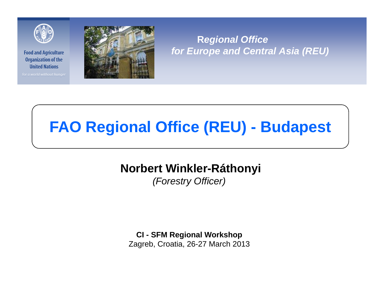

for a world without hunger



**R***egional Office for Europe and Central Asia (REU)*

# **FAO Regional Office (REU) - Budapest**

## **Norbert Winkler-Ráthonyi**

*(Forestry Officer)*

**CI - SFM Regional Workshop**

Zagreb, Croatia, 26-27 March 2013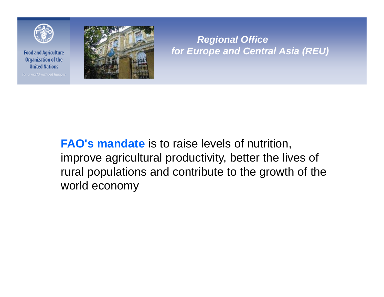

for a world without hunger



*Regional Office for Europe and Central Asia (REU)*

**FAO's mandate** is to raise levels of nutrition, improve agricultural productivity, better the lives of rural populations and contribute to the growth of the world economy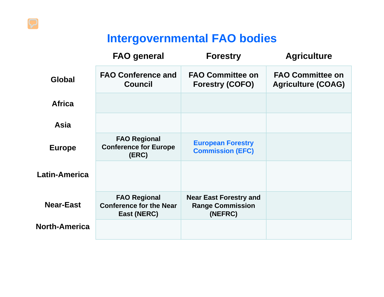# **Intergovernmental FAO bodies**

|                      | <b>FAO general</b>                                                   | <b>Forestry</b>                                                     | <b>Agriculture</b>                                   |
|----------------------|----------------------------------------------------------------------|---------------------------------------------------------------------|------------------------------------------------------|
| Global               | <b>FAO Conference and</b><br>Council                                 | <b>FAO Committee on</b><br><b>Forestry (COFO)</b>                   | <b>FAO Committee on</b><br><b>Agriculture (COAG)</b> |
| <b>Africa</b>        |                                                                      |                                                                     |                                                      |
| <b>Asia</b>          |                                                                      |                                                                     |                                                      |
| <b>Europe</b>        | <b>FAO Regional</b><br><b>Conference for Europe</b><br>(ERC)         | <b>European Forestry</b><br><b>Commission (EFC)</b>                 |                                                      |
| Latin-America        |                                                                      |                                                                     |                                                      |
| <b>Near-East</b>     | <b>FAO Regional</b><br><b>Conference for the Near</b><br>East (NERC) | <b>Near East Forestry and</b><br><b>Range Commission</b><br>(NEFRC) |                                                      |
| <b>North-America</b> |                                                                      |                                                                     |                                                      |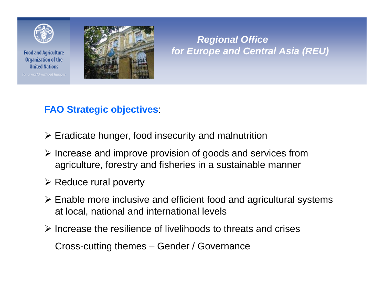

**Food and Agriculture Organization of the United Nations** 





#### *Regional Office for Europe and Central Asia (REU)*

#### **FAO Strategic objectives**:

- $\triangleright$  Eradicate hunger, food insecurity and malnutrition
- ¾ Increase and improve provision of goods and services from agriculture, forestry and fisheries in a sustainable manner
- $\triangleright$  Reduce rural poverty
- ¾ Enable more inclusive and efficient food and agricultural systems at local, national and international levels
- $\triangleright$  Increase the resilience of livelihoods to threats and crises

Cross-cutting themes – Gender / Governance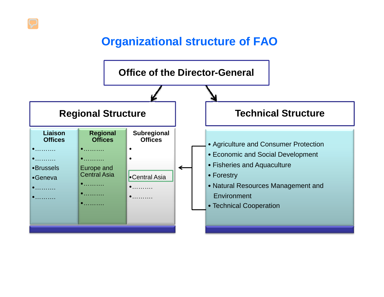## **Organizational structure of FAO**

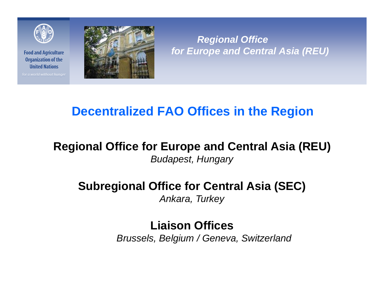

for a world without hunger



*Regional Office for Europe and Central Asia (REU)*

# **Decentralized FAO Offices in the Region**

## **Regional Office for Europe and Central Asia (REU)** *Budapest, Hungary*

## **Subregional Office for Central Asia (SEC)** *Ankara, Turkey*

# **Liaison Offices**

*Brussels, Belgium / Geneva, Switzerland*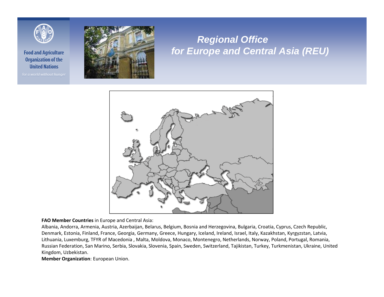

for a world without hunger



#### *Regional Office for Europe and Central Asia (REU)*



**FAO Member Countries** in Europe and Central Asia:

Albania, Andorra, Armenia, Austria, Azerbaijan, Belarus, Belgium, Bosnia and Herzegovina, Bulgaria, Croatia, Cyprus, Czech Republic, Denmark, Estonia, Finland, France, Georgia, Germany, Greece, Hungary, Iceland, Ireland, Israel, Italy, Kazakhstan, Kyrgyzstan, Latvia, Lithuania, Luxemburg, TFYR of Macedonia , Malta, Moldova, Monaco, Montenegro, Netherlands, Norway, Poland, Portugal, Romania, Russian Federation, San Marino, Serbia, Slovakia, Slovenia, Spain, Sweden, Switzerland, Tajikistan, Turkey, Turkmenistan, Ukraine, United Kingdom, Uzbekistan.

**Member Organization**: European Union.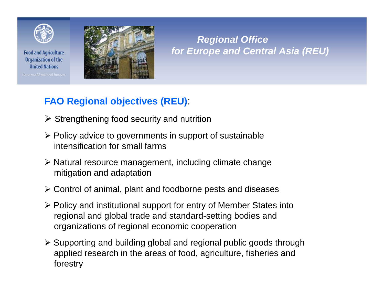

**Food and Agriculture Organization of the United Nations** 





#### *Regional Office for Europe and Central Asia (REU)*

#### **FAO Regional objectives (REU)**:

- $\triangleright$  Strengthening food security and nutrition
- $\triangleright$  Policy advice to governments in support of sustainable intensification for small farms
- ¾ Natural resource management, including climate change mitigation and adaptation
- ¾ Control of animal, plant and foodborne pests and diseases
- ¾ Policy and institutional support for entry of Member States into regional and global trade and standard-setting bodies and organizations of regional economic cooperation
- ¾ Supporting and building global and regional public goods through applied research in the areas of food, agriculture, fisheries and forestry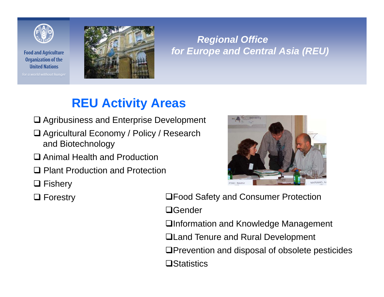

**Food and Agriculture Organization of the United Nations** 

for a world without hunger



#### *Regional Office for Europe and Central Asia (REU)*

# **REU Activity Areas**

- **□ Agribusiness and Enterprise Development**
- Agricultural Economy / Policy / Research and Biotechnology
- **□** Animal Health and Production
- **□ Plant Production and Protection**
- **□ Fishery**
- $\Box$  Forestry

**□Food Safety and Consumer Protection** □Gender

□Information and Knowledge Management

Land Tenure and Rural Development

**□Prevention and disposal of obsolete pesticides** 

**O**Statistics

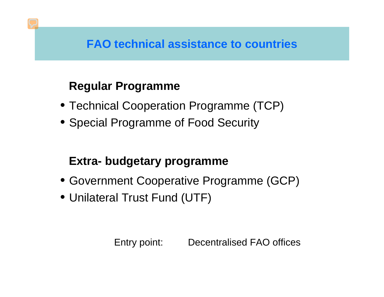## **FAO technical assistance to countries**

# **Regular Programme**

- Technical Cooperation Programme (TCP)
- Special Programme of Food Security

# **Extra- budgetary programme**

- Government Cooperative Programme (GCP)
- Unilateral Trust Fund (UTF)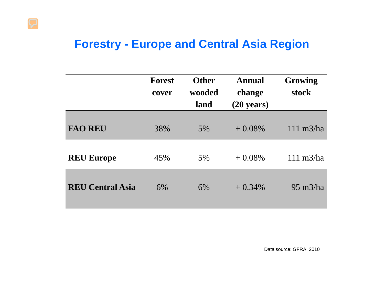## **Forestry - Europe and Central Asia Region**

|                         | <b>Forest</b><br>cover | <b>Other</b><br>wooded<br>land | <b>Annual</b><br>change<br>$(20 \text{ years})$ | Growing<br>stock     |
|-------------------------|------------------------|--------------------------------|-------------------------------------------------|----------------------|
| <b>FAO REU</b>          | 38%                    | 5%                             | $+0.08\%$                                       | $111 \text{ m}$ 3/ha |
| <b>REU Europe</b>       | 45%                    | 5%                             | $+0.08\%$                                       | $111 \text{ m}$ 3/ha |
| <b>REU Central Asia</b> | 6%                     | 6%                             | $+0.34\%$                                       | $95 \text{ m}$ 3/ha  |

Data source: GFRA, 2010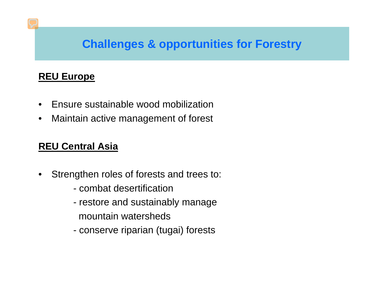## **Challenges & opportunities for Forestry**

#### **REU Europe**

- $\bullet$ Ensure sustainable wood mobilization
- •Maintain active management of forest

#### **REU Central Asia**

- $\bullet$  Strengthen roles of forests and trees to:
	- combat desertification
	- restore and sustainably manage mountain watersheds
	- conserve riparian (tugai) forests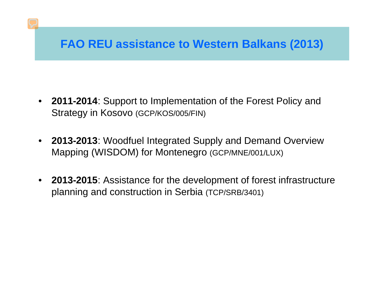# **FAO REU assistance to Western Balkans (2013)**

- $\bullet$  **2011-2014**: Support to Implementation of the Forest Policy and Strategy in Kosovo (GCP/KOS/005/FIN)
- **2013-2013**: Woodfuel Integrated Supply and Demand Overview Mapping (WISDOM) for Montenegro (GCP/MNE/001/LUX)
- $\bullet$  **2013-2015**: Assistance for the development of forest infrastructure planning and construction in Serbia (TCP/SRB/3401)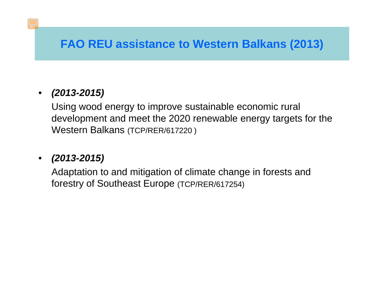# **FAO REU assistance to Western Balkans (2013)**

#### • *(2013-2015)*

Using wood energy to improve sustainable economic rural development and meet the 2020 renewable energy targets for the Western Balkans (TCP/RER/617220 )

#### • *(2013-2015)*

Adaptation to and mitigation of climate change in forests and forestry of Southeast Europe (TCP/RER/617254)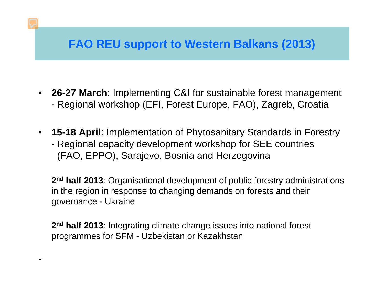## **FAO REU support to Western Balkans (2013)**

- **26-27 March**: Implementing C&I for sustainable forest management Regional workshop (EFI, Forest Europe, FAO), Zagreb, Croatia
- **15-18 April**: Implementation of Phytosanitary Standards in Forestry Regional capacity development workshop for SEE countries (FAO, EPPO), Sarajevo, Bosnia and Herzegovina

**2nd half 2013**: Organisational development of public forestry administrations in the region in response to changing demands on forests and their governance - Ukraine

**2nd half 2013**: Integrating climate change issues into national forest programmes for SFM - Uzbekistan or Kazakhstan

**-**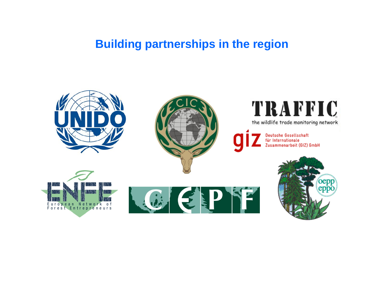## **Building partnerships in the region**